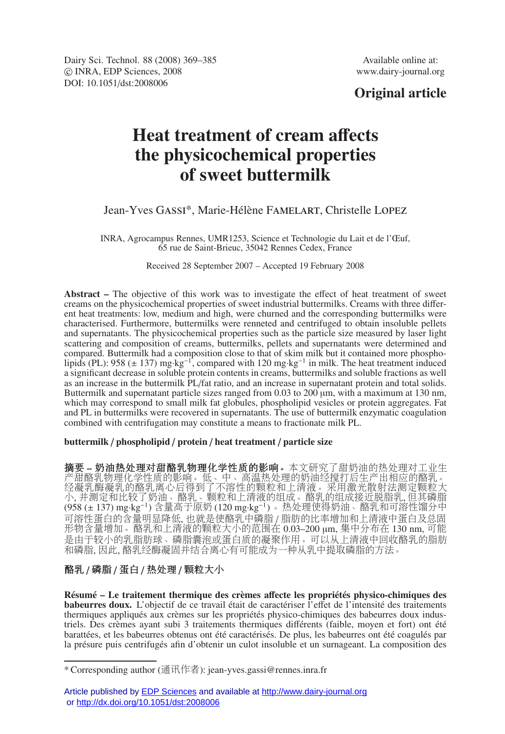Dairy Sci. Technol. 88 (2008) 369–385 Available online at: -c INRA, EDP Sciences, 2008 www.dairy-journal.org DOI: 10.1051/dst:2008006

## **Original article**

# **Heat treatment of cream a**ff**ects the physicochemical properties of sweet buttermilk**

Jean-Yves Gassi\*, Marie-Hélène Famelart, Christelle Lopez

INRA, Agrocampus Rennes, UMR1253, Science et Technologie du Lait et de l'Œuf, 65 rue de Saint-Brieuc, 35042 Rennes Cedex, France

Received 28 September 2007 – Accepted 19 February 2008

**Abstract –** The objective of this work was to investigate the effect of heat treatment of sweet creams on the physicochemical properties of sweet industrial buttermilks. Creams with three different heat treatments: low, medium and high, were churned and the corresponding buttermilks were characterised. Furthermore, buttermilks were renneted and centrifuged to obtain insoluble pellets and supernatants. The physicochemical properties such as the particle size measured by laser light scattering and composition of creams, buttermilks, pellets and supernatants were determined and compared. Buttermilk had a composition close to that of skim milk but it contained more phospholipids (PL): 958 ( $\pm$  137) mg·kg<sup>-1</sup>, compared with 120 mg·kg<sup>-1</sup> in milk. The heat treatment induced a significant decrease in soluble protein contents in creams, buttermilks and soluble fractions as well as an increase in the buttermilk PL/fat ratio, and an increase in supernatant protein and total solids. Buttermilk and supernatant particle sizes ranged from 0.03 to 200  $\mu$ m, with a maximum at 130 nm, which may correspond to small milk fat globules, phospholipid vesicles or protein aggregates. Fat and PL in buttermilks were recovered in supernatants. The use of buttermilk enzymatic coagulation combined with centrifugation may constitute a means to fractionate milk PL.

#### **buttermilk** / **phospholipid** / **protein** / **heat treatment** / **particle size**

摘要 **–** 奶油热处理对甜酪乳物理化学性质的影响。本文研究了甜奶油的热处理对工业生 产甜酪乳物理化学性质的影响。低、中、高温热处理的奶油经搅打后生产出相应的酪乳。 经凝乳酶凝乳的酪乳离心后得到了不溶性的颗粒和上清液。采用激光散射法测定颗粒大 小, 并测定和比较了奶油、酪乳、颗粒和上清液的组成。酪乳的组成接近脱脂乳, 但其磷脂 (958 (± 137) mg·kg−1) 含量高于原奶 (120 mg·kg−1) 。热处理使得奶油、酪乳和可溶性馏分中 可溶性蛋白的含量明显降低, 也就是使酪乳中磷脂 / 脂肪的比率增加和上清液中蛋白及总固 形物含量增加。酪乳和上清液的颗粒大小的范围在 0.03–200 μm, 集中分布在 130 nm, 可能 是由于较小的乳脂肪球、磷脂囊泡或蛋白质的凝聚作用。可以从上清液中回收酪乳的脂肪 和磷脂, 因此, 酪乳经酶凝固并结合离心有可能成为一种从乳中提取磷脂的方法。

### 酪乳 / 磷脂 / 蛋白 / 热处理 / 颗粒大小

**Résumé – Le traitement thermique des crèmes a**ff**ecte les propriétés physico-chimiques des babeurres doux.** L'objectif de ce travail était de caractériser l'effet de l'intensité des traitements thermiques appliqués aux crèmes sur les propriétés physico-chimiques des babeurres doux industriels. Des crèmes ayant subi 3 traitements thermiques différents (faible, moyen et fort) ont été barattées, et les babeurres obtenus ont été caractérisés. De plus, les babeurres ont été coagulés par la présure puis centrifugés afin d'obtenir un culot insoluble et un surnageant. La composition des

<sup>\*</sup> Corresponding author (通讯作者): jean-yves.gassi@rennes.inra.fr

Article published by **EDP Sciences** and available at <http://www.dairy-journal.org> or<http://dx.doi.org/10.1051/dst:2008006>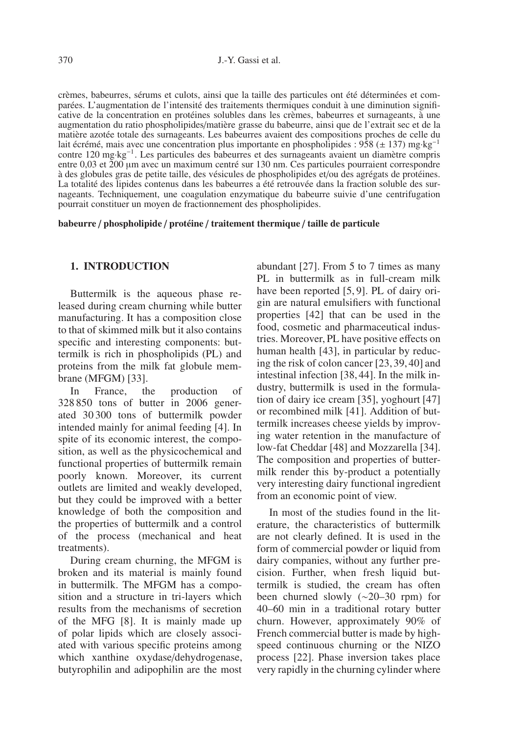crèmes, babeurres, sérums et culots, ainsi que la taille des particules ont été déterminées et comparées. L'augmentation de l'intensité des traitements thermiques conduit à une diminution significative de la concentration en protéines solubles dans les crèmes, babeurres et surnageants, à une augmentation du ratio phospholipides/matière grasse du babeurre, ainsi que de l'extrait sec et de la matière azotée totale des surnageants. Les babeurres avaient des compositions proches de celle du lait écrémé, mais avec une concentration plus importante en phospholipides : 958 (± 137) mg·kg−<sup>1</sup> contre 120 mg·kg−1. Les particules des babeurres et des surnageants avaient un diamètre compris entre 0,03 et 200 μm avec un maximum centré sur 130 nm. Ces particules pourraient correspondre à des globules gras de petite taille, des vésicules de phospholipides et/ou des agrégats de protéines. La totalité des lipides contenus dans les babeurres a été retrouvée dans la fraction soluble des surnageants. Techniquement, une coagulation enzymatique du babeurre suivie d'une centrifugation pourrait constituer un moyen de fractionnement des phospholipides.

#### **babeurre** / **phospholipide** / **protéine** / **traitement thermique** / **taille de particule**

#### **1. INTRODUCTION**

Buttermilk is the aqueous phase released during cream churning while butter manufacturing. It has a composition close to that of skimmed milk but it also contains specific and interesting components: buttermilk is rich in phospholipids (PL) and proteins from the milk fat globule membrane (MFGM) [33].

In France, the production of 328 850 tons of butter in 2006 generated 30 300 tons of buttermilk powder intended mainly for animal feeding [4]. In spite of its economic interest, the composition, as well as the physicochemical and functional properties of buttermilk remain poorly known. Moreover, its current outlets are limited and weakly developed, but they could be improved with a better knowledge of both the composition and the properties of buttermilk and a control of the process (mechanical and heat treatments).

During cream churning, the MFGM is broken and its material is mainly found in buttermilk. The MFGM has a composition and a structure in tri-layers which results from the mechanisms of secretion of the MFG [8]. It is mainly made up of polar lipids which are closely associated with various specific proteins among which xanthine oxydase/dehydrogenase, butyrophilin and adipophilin are the most

abundant [27]. From 5 to 7 times as many PL in buttermilk as in full-cream milk have been reported [5, 9]. PL of dairy origin are natural emulsifiers with functional properties [42] that can be used in the food, cosmetic and pharmaceutical industries. Moreover, PL have positive effects on human health [43], in particular by reducing the risk of colon cancer [23, 39, 40] and intestinal infection [38, 44]. In the milk industry, buttermilk is used in the formulation of dairy ice cream [35], yoghourt [47] or recombined milk [41]. Addition of buttermilk increases cheese yields by improving water retention in the manufacture of low-fat Cheddar [48] and Mozzarella [34]. The composition and properties of buttermilk render this by-product a potentially very interesting dairy functional ingredient from an economic point of view.

In most of the studies found in the literature, the characteristics of buttermilk are not clearly defined. It is used in the form of commercial powder or liquid from dairy companies, without any further precision. Further, when fresh liquid buttermilk is studied, the cream has often been churned slowly (∼20–30 rpm) for 40–60 min in a traditional rotary butter churn. However, approximately 90% of French commercial butter is made by highspeed continuous churning or the NIZO process [22]. Phase inversion takes place very rapidly in the churning cylinder where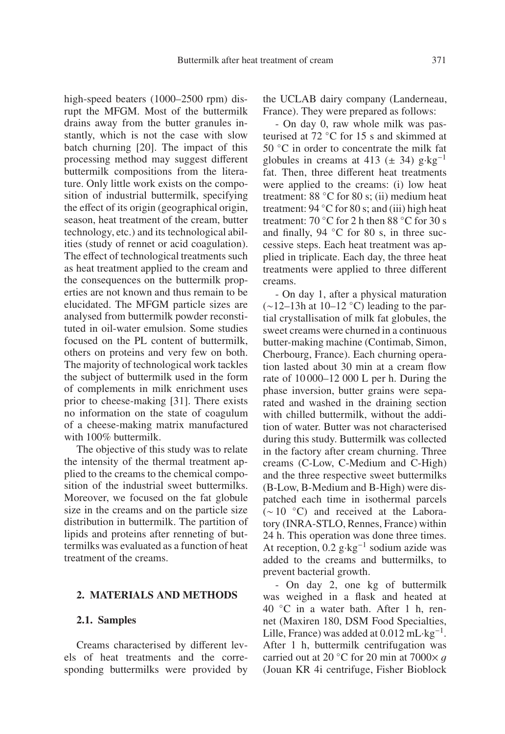high-speed beaters (1000–2500 rpm) disrupt the MFGM. Most of the buttermilk drains away from the butter granules instantly, which is not the case with slow batch churning [20]. The impact of this processing method may suggest different buttermilk compositions from the literature. Only little work exists on the composition of industrial buttermilk, specifying the effect of its origin (geographical origin, season, heat treatment of the cream, butter technology, etc.) and its technological abilities (study of rennet or acid coagulation). The effect of technological treatments such as heat treatment applied to the cream and the consequences on the buttermilk properties are not known and thus remain to be elucidated. The MFGM particle sizes are analysed from buttermilk powder reconstituted in oil-water emulsion. Some studies focused on the PL content of buttermilk, others on proteins and very few on both. The majority of technological work tackles the subject of buttermilk used in the form of complements in milk enrichment uses prior to cheese-making [31]. There exists no information on the state of coagulum of a cheese-making matrix manufactured with 100% buttermilk.

The objective of this study was to relate the intensity of the thermal treatment applied to the creams to the chemical composition of the industrial sweet buttermilks. Moreover, we focused on the fat globule size in the creams and on the particle size distribution in buttermilk. The partition of lipids and proteins after renneting of buttermilks was evaluated as a function of heat treatment of the creams.

#### **2. MATERIALS AND METHODS**

#### **2.1. Samples**

Creams characterised by different levels of heat treatments and the corresponding buttermilks were provided by the UCLAB dairy company (Landerneau, France). They were prepared as follows:

- On day 0, raw whole milk was pasteurised at 72 ◦C for 15 s and skimmed at 50 °C in order to concentrate the milk fat globules in creams at 413 ( $\pm$  34) g·kg<sup>-1</sup> fat. Then, three different heat treatments were applied to the creams: (i) low heat treatment: 88 ◦C for 80 s; (ii) medium heat treatment:  $94 °C$  for 80 s; and (iii) high heat treatment: 70 ◦C for 2 h then 88 ◦C for 30 s and finally, 94 ◦C for 80 s, in three successive steps. Each heat treatment was applied in triplicate. Each day, the three heat treatments were applied to three different creams.

- On day 1, after a physical maturation (∼12–13h at 10–12 ◦C) leading to the partial crystallisation of milk fat globules, the sweet creams were churned in a continuous butter-making machine (Contimab, Simon, Cherbourg, France). Each churning operation lasted about 30 min at a cream flow rate of 10 000–12 000 L per h. During the phase inversion, butter grains were separated and washed in the draining section with chilled buttermilk, without the addition of water. Butter was not characterised during this study. Buttermilk was collected in the factory after cream churning. Three creams (C-Low, C-Medium and C-High) and the three respective sweet buttermilks (B-Low, B-Medium and B-High) were dispatched each time in isothermal parcels (∼ 10 ◦C) and received at the Laboratory (INRA-STLO, Rennes, France) within 24 h. This operation was done three times. At reception, 0.2 g·kg−<sup>1</sup> sodium azide was added to the creams and buttermilks, to prevent bacterial growth.

- On day 2, one kg of buttermilk was weighed in a flask and heated at 40 ◦C in a water bath. After 1 h, rennet (Maxiren 180, DSM Food Specialties, Lille, France) was added at  $0.012$  mL·kg<sup>-1</sup>. After 1 h, buttermilk centrifugation was carried out at 20 °C for 20 min at 7000 $\times$  q (Jouan KR 4i centrifuge, Fisher Bioblock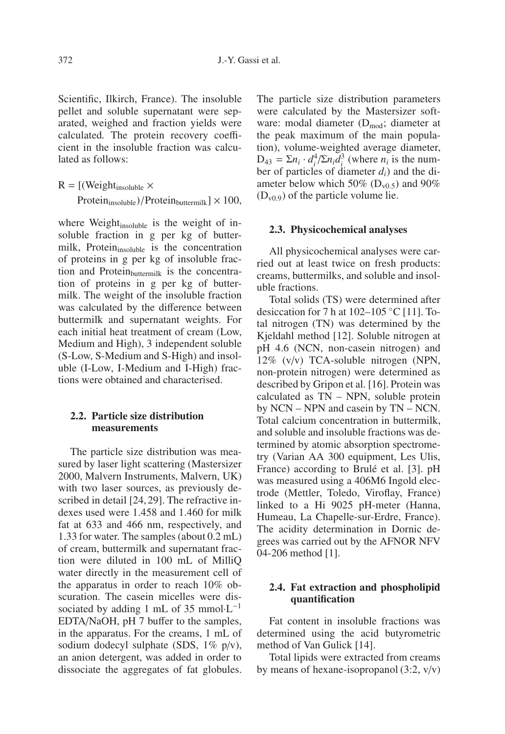Scientific, Ilkirch, France). The insoluble pellet and soluble supernatant were separated, weighed and fraction yields were calculated. The protein recovery coefficient in the insoluble fraction was calculated as follows:

$$
R = [(Weight_{insoluble} \times
$$

 $Protein<sub>insoluble</sub>)/Protein<sub>buttermilk</sub>$   $\times$  100,

where Weight $_{insoluble}$  is the weight of insoluble fraction in g per kg of buttermilk, Protein<sub>insoluble</sub> is the concentration of proteins in g per kg of insoluble fraction and Protein $_{\text{buttermilk}}$  is the concentration of proteins in g per kg of buttermilk. The weight of the insoluble fraction was calculated by the difference between buttermilk and supernatant weights. For each initial heat treatment of cream (Low, Medium and High), 3 independent soluble (S-Low, S-Medium and S-High) and insoluble (I-Low, I-Medium and I-High) fractions were obtained and characterised.

#### **2.2. Particle size distribution measurements**

The particle size distribution was measured by laser light scattering (Mastersizer 2000, Malvern Instruments, Malvern, UK) with two laser sources, as previously described in detail [24,29]. The refractive indexes used were 1.458 and 1.460 for milk fat at 633 and 466 nm, respectively, and 1.33 for water. The samples (about 0.2 mL) of cream, buttermilk and supernatant fraction were diluted in 100 mL of MilliQ water directly in the measurement cell of the apparatus in order to reach 10% obscuration. The casein micelles were dissociated by adding 1 mL of 35 mmol⋅L<sup>-1</sup> EDTA/NaOH, pH 7 buffer to the samples, in the apparatus. For the creams, 1 mL of sodium dodecyl sulphate (SDS, 1% p/v), an anion detergent, was added in order to dissociate the aggregates of fat globules. The particle size distribution parameters were calculated by the Mastersizer software: modal diameter  $(D_{mod})$ ; diameter at the peak maximum of the main population), volume-weighted average diameter,  $D_{43} = \sum n_i \cdot d_i^4 / \sum n_i d_i^3$  (where  $n_i$  is the number of particles of diameter *di*) and the diameter below which 50% ( $D_{v0.5}$ ) and 90%  $(D_{v0.9})$  of the particle volume lie.

#### **2.3. Physicochemical analyses**

All physicochemical analyses were carried out at least twice on fresh products: creams, buttermilks, and soluble and insoluble fractions.

Total solids (TS) were determined after desiccation for 7 h at  $102-105$  °C [11]. Total nitrogen (TN) was determined by the Kjeldahl method [12]. Soluble nitrogen at pH 4.6 (NCN, non-casein nitrogen) and 12% (v/v) TCA-soluble nitrogen (NPN, non-protein nitrogen) were determined as described by Gripon et al. [16]. Protein was calculated as TN – NPN, soluble protein by NCN – NPN and casein by TN – NCN. Total calcium concentration in buttermilk, and soluble and insoluble fractions was determined by atomic absorption spectrometry (Varian AA 300 equipment, Les Ulis, France) according to Brulé et al. [3]. pH was measured using a 406M6 Ingold electrode (Mettler, Toledo, Viroflay, France) linked to a Hi 9025 pH-meter (Hanna, Humeau, La Chapelle-sur-Erdre, France). The acidity determination in Dornic degrees was carried out by the AFNOR NFV 04-206 method [1].

#### **2.4. Fat extraction and phospholipid quantification**

Fat content in insoluble fractions was determined using the acid butyrometric method of Van Gulick [14].

Total lipids were extracted from creams by means of hexane-isopropanol  $(3:2, v/v)$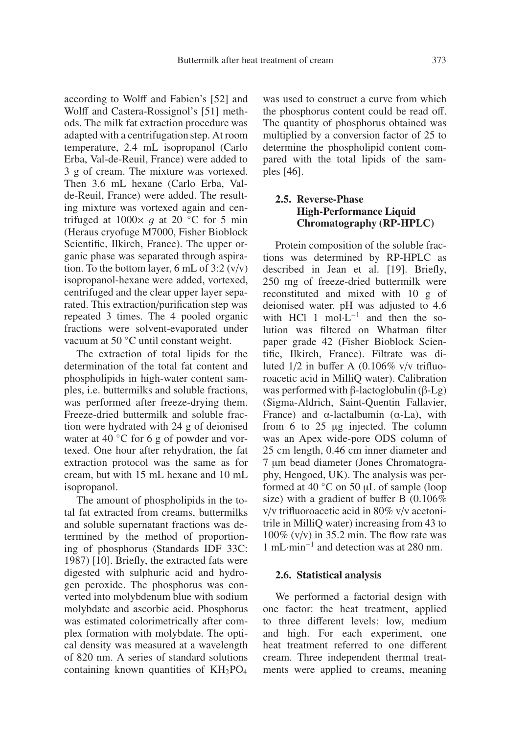according to Wolff and Fabien's [52] and Wolff and Castera-Rossignol's [51] methods. The milk fat extraction procedure was adapted with a centrifugation step. At room temperature, 2.4 mL isopropanol (Carlo Erba, Val-de-Reuil, France) were added to 3 g of cream. The mixture was vortexed. Then 3.6 mL hexane (Carlo Erba, Valde-Reuil, France) were added. The resulting mixture was vortexed again and centrifuged at  $1000 \times g$  at 20 °C for 5 min (Heraus cryofuge M7000, Fisher Bioblock Scientific, Ilkirch, France). The upper organic phase was separated through aspiration. To the bottom layer,  $6 \text{ mL of } 3:2 \text{ (v/v)}$ isopropanol-hexane were added, vortexed, centrifuged and the clear upper layer separated. This extraction/purification step was repeated 3 times. The 4 pooled organic fractions were solvent-evaporated under vacuum at 50 ◦C until constant weight.

The extraction of total lipids for the determination of the total fat content and phospholipids in high-water content samples, i.e. buttermilks and soluble fractions, was performed after freeze-drying them. Freeze-dried buttermilk and soluble fraction were hydrated with 24 g of deionised water at 40 °C for 6 g of powder and vortexed. One hour after rehydration, the fat extraction protocol was the same as for cream, but with 15 mL hexane and 10 mL isopropanol.

The amount of phospholipids in the total fat extracted from creams, buttermilks and soluble supernatant fractions was determined by the method of proportioning of phosphorus (Standards IDF 33C: 1987) [10]. Briefly, the extracted fats were digested with sulphuric acid and hydrogen peroxide. The phosphorus was converted into molybdenum blue with sodium molybdate and ascorbic acid. Phosphorus was estimated colorimetrically after complex formation with molybdate. The optical density was measured at a wavelength of 820 nm. A series of standard solutions containing known quantities of  $KH_{2}PO_{4}$ 

was used to construct a curve from which the phosphorus content could be read off. The quantity of phosphorus obtained was multiplied by a conversion factor of 25 to determine the phospholipid content compared with the total lipids of the samples [46].

#### **2.5. Reverse-Phase High-Performance Liquid Chromatography (RP-HPLC)**

Protein composition of the soluble fractions was determined by RP-HPLC as described in Jean et al. [19]. Briefly, 250 mg of freeze-dried buttermilk were reconstituted and mixed with 10 g of deionised water. pH was adjusted to 4.6 with HCl 1 mol⋅L<sup>-1</sup> and then the solution was filtered on Whatman filter paper grade 42 (Fisher Bioblock Scientific, Ilkirch, France). Filtrate was diluted 1/2 in buffer A (0.106% v/v trifluoroacetic acid in MilliQ water). Calibration was performed with β-lactoglobulin (β-Lg) (Sigma-Aldrich, Saint-Quentin Fallavier, France) and  $\alpha$ -lactalbumin ( $\alpha$ -La), with from 6 to 25 μg injected. The column was an Apex wide-pore ODS column of 25 cm length, 0.46 cm inner diameter and 7 μm bead diameter (Jones Chromatography, Hengoed, UK). The analysis was performed at 40 ◦C on 50 μL of sample (loop size) with a gradient of buffer B (0.106% v/v trifluoroacetic acid in 80% v/v acetonitrile in MilliQ water) increasing from 43 to 100% (v/v) in 35.2 min. The flow rate was 1 mL·min−<sup>1</sup> and detection was at 280 nm.

#### **2.6. Statistical analysis**

We performed a factorial design with one factor: the heat treatment, applied to three different levels: low, medium and high. For each experiment, one heat treatment referred to one different cream. Three independent thermal treatments were applied to creams, meaning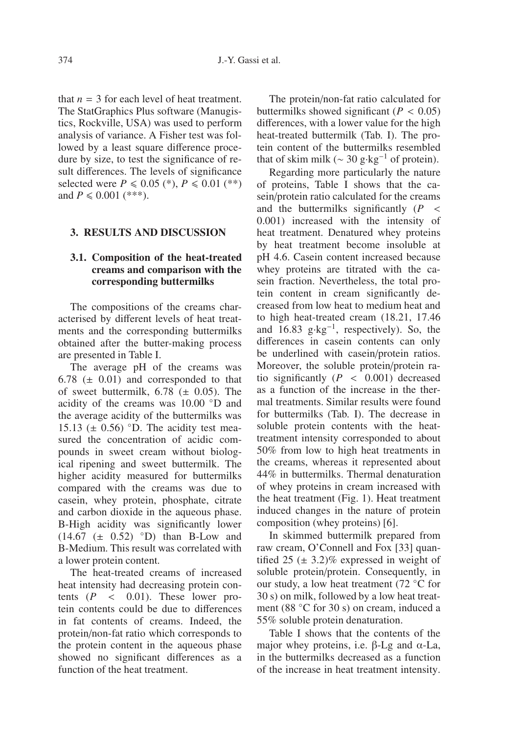that  $n = 3$  for each level of heat treatment. The StatGraphics Plus software (Manugistics, Rockville, USA) was used to perform analysis of variance. A Fisher test was followed by a least square difference procedure by size, to test the significance of result differences. The levels of significance selected were  $P \le 0.05$  (\*),  $P \le 0.01$  (\*\*)<br>and  $P \le 0.001$  (\*\*\*). and  $P \le 0.001$  (\*\*\*).

#### **3. RESULTS AND DISCUSSION**

#### **3.1. Composition of the heat-treated creams and comparison with the corresponding buttermilks**

The compositions of the creams characterised by different levels of heat treatments and the corresponding buttermilks obtained after the butter-making process are presented in Table I.

The average pH of the creams was  $6.78 \ (\pm 0.01)$  and corresponded to that of sweet buttermilk,  $6.78$  ( $\pm$  0.05). The acidity of the creams was 10.00 ◦D and the average acidity of the buttermilks was 15.13 ( $\pm$  0.56) °D. The acidity test measured the concentration of acidic compounds in sweet cream without biological ripening and sweet buttermilk. The higher acidity measured for buttermilks compared with the creams was due to casein, whey protein, phosphate, citrate and carbon dioxide in the aqueous phase. B-High acidity was significantly lower (14.67 (<sup>±</sup> <sup>0</sup>.52) ◦D) than B-Low and B-Medium. This result was correlated with a lower protein content.

The heat-treated creams of increased heat intensity had decreasing protein contents  $(P \lt 0.01)$ . These lower protein contents could be due to differences in fat contents of creams. Indeed, the protein/non-fat ratio which corresponds to the protein content in the aqueous phase showed no significant differences as a function of the heat treatment.

The protein/non-fat ratio calculated for buttermilks showed significant  $(P < 0.05)$ differences, with a lower value for the high heat-treated buttermilk (Tab. I). The protein content of the buttermilks resembled that of skim milk ( $\sim$  30 g⋅kg<sup>-1</sup> of protein).

Regarding more particularly the nature of proteins, Table I shows that the casein/protein ratio calculated for the creams and the buttermilks significantly (*<sup>P</sup>* < <sup>0</sup>.001) increased with the intensity of heat treatment. Denatured whey proteins by heat treatment become insoluble at pH 4.6. Casein content increased because whey proteins are titrated with the casein fraction. Nevertheless, the total protein content in cream significantly decreased from low heat to medium heat and to high heat-treated cream (18.21, 17.46 and 16.83 g⋅kg<sup>-1</sup>, respectively). So, the differences in casein contents can only be underlined with casein/protein ratios. Moreover, the soluble protein/protein ratio significantly  $(P < 0.001)$  decreased as a function of the increase in the thermal treatments. Similar results were found for buttermilks (Tab. I). The decrease in soluble protein contents with the heattreatment intensity corresponded to about 50% from low to high heat treatments in the creams, whereas it represented about 44% in buttermilks. Thermal denaturation of whey proteins in cream increased with the heat treatment (Fig. 1). Heat treatment induced changes in the nature of protein composition (whey proteins) [6].

In skimmed buttermilk prepared from raw cream, O'Connell and Fox [33] quantified 25  $(\pm 3.2)\%$  expressed in weight of soluble protein/protein. Consequently, in our study, a low heat treatment (72 ◦C for 30 s) on milk, followed by a low heat treatment (88 ◦C for 30 s) on cream, induced a 55% soluble protein denaturation.

Table I shows that the contents of the major whey proteins, i.e. β-Lg and  $α$ -La, in the buttermilks decreased as a function of the increase in heat treatment intensity.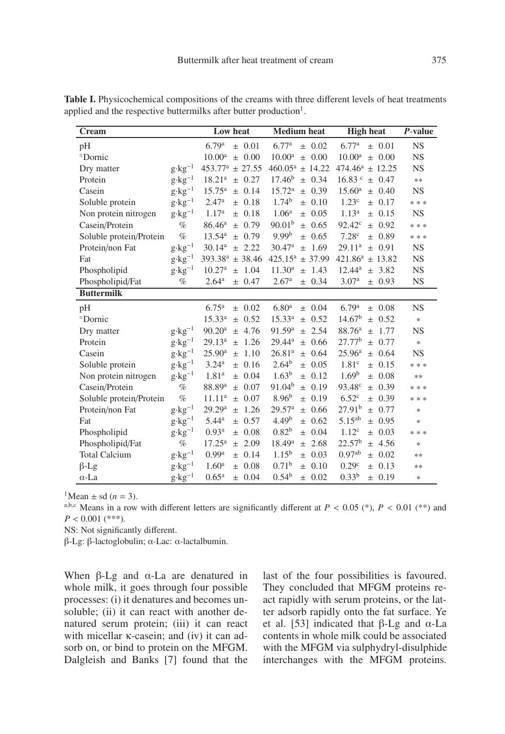| Cream                   |                   | Low heat                            | <b>Medium</b> heat                  | <b>High heat</b>                    | $P$ -value |
|-------------------------|-------------------|-------------------------------------|-------------------------------------|-------------------------------------|------------|
| pH                      |                   | 6.79 <sup>a</sup><br>0.01<br>$\pm$  | 6.77 <sup>a</sup><br>$\pm$ 0.02     | 6.77 <sup>a</sup><br>$\pm 0.01$     | <b>NS</b>  |
| <sup>o</sup> Dornic     |                   | 10.00 <sup>a</sup><br>0.00<br>$+$   | 10.00 <sup>a</sup><br>0.00<br>$+$   | 10.00 <sup>a</sup><br>$\pm$ 0.00    | NS         |
| Dry matter              | $g \cdot kg^{-1}$ | 453.77 <sup>a</sup><br>± 27.55      | $460.05^a$<br>± 14.22               | 474.46 <sup>a</sup><br>± 12.25      | <b>NS</b>  |
| Protein                 | $g \cdot kg^{-1}$ | $18.21^{a}$<br>0.27<br>$\pm$        | $17.46^{b}$<br>0.34<br>$\pm$        | 16.83 <sup>c</sup><br>0.47<br>$\pm$ | $\ast\ast$ |
| Casein                  | $g \cdot kg^{-1}$ | $15.75^{\rm a}$<br>0.14<br>$\pm$    | 15.72 <sup>a</sup><br>0.39<br>$\pm$ | $15.60^{\rm a}$<br>$\pm$ 0.40       | <b>NS</b>  |
| Soluble protein         | $g \cdot kg^{-1}$ | 2.47 <sup>a</sup><br>$\pm 0.18$     | $1.74^{b}$<br>0.10<br>$\pm$         | 1.23 <sup>c</sup><br>± 0.17         | * * *      |
| Non protein nitrogen    | $g \cdot kg^{-1}$ | 1.17 <sup>a</sup><br>0.18<br>$\pm$  | 1.06 <sup>a</sup><br>0.05<br>$+$    | $1.13^{a}$<br>$\pm$ 0.15            | <b>NS</b>  |
| Casein/Protein          | $\%$              | 86.46 <sup>a</sup><br>0.79<br>$+$   | 90.01 <sup>b</sup><br>0.65<br>$+$   | 92.42 <sup>c</sup><br>$\pm$ 0.92    | * * *      |
| Soluble protein/Protein | $\%$              | 13.54 <sup>a</sup><br>0.79<br>$+$   | 9.99 <sup>b</sup><br>0.65<br>$+$    | 7.28 <sup>c</sup><br>± 0.89         | * * *      |
| Protein/non Fat         | $g \cdot kg^{-1}$ | 30.14 <sup>a</sup><br>2.22<br>$\pm$ | 30.47 <sup>a</sup><br>1.69<br>$\pm$ | 29.11 <sup>a</sup><br>$\pm$ 0.91    | <b>NS</b>  |
| Fat                     | $g \cdot kg^{-1}$ | 393.38 <sup>a</sup><br>± 38.46      | $425.15^a$<br>± 37.99               | $421.86^a$<br>± 13.82               | NS         |
| Phospholipid            | $g \cdot kg^{-1}$ | 10.27 <sup>a</sup><br>1.04<br>$\pm$ | 11.30 <sup>a</sup><br>1.43<br>$+$   | $12.44^a$<br>± 3.82                 | <b>NS</b>  |
| Phospholipid/Fat        | $\%$              | 2.64 <sup>a</sup><br>0.47<br>$\pm$  | 2.67 <sup>a</sup><br>0.34<br>$\pm$  | 3.07 <sup>a</sup><br>± 0.93         | <b>NS</b>  |
| <b>Buttermilk</b>       |                   |                                     |                                     |                                     |            |
| pH                      |                   | 6.75 <sup>a</sup><br>± 0.02         | 6.80 <sup>a</sup><br>$\pm$ 0.04     | 6.79a<br>$\pm$ 0.08                 | <b>NS</b>  |
| <sup>o</sup> Dornic     |                   | $15.33^{a}$<br>± 0.52               | $15.33^{a}$<br>0.52<br>$\pm$        | 14.67 <sup>b</sup><br>$\pm 0.52$    | $\ast$     |
| Dry matter              | $g \cdot kg^{-1}$ | 90.20 <sup>a</sup><br>± 4.76        | 91.59 <sup>a</sup><br>2.54<br>$\pm$ | 88.76 <sup>a</sup><br>1.77<br>$\pm$ | <b>NS</b>  |
| Protein                 | $g \cdot kg^{-1}$ | $29.13^{a}$<br>1.26<br>$\pm$        | $29.44^a$<br>0.66<br>$\pm$          | 27.77 <sup>b</sup><br>± 0.77        | $\ast$     |
| Casein                  | $g \cdot kg^{-1}$ | $25.90^{\rm a}$<br>1.10<br>$\pm$    | 26.81 <sup>a</sup><br>0.64<br>$\pm$ | 25.96 <sup>a</sup><br>± 0.64        | <b>NS</b>  |
| Soluble protein         | $g \cdot kg^{-1}$ | 3.24 <sup>a</sup><br>0.16<br>$\pm$  | $2.64^{b}$<br>0.05<br>$+$           | 1.81 <sup>c</sup><br>± 0.15         | * * *      |
| Non protein nitrogen    | $g \cdot kg^{-1}$ | 1.81 <sup>a</sup><br>0.04<br>$\pm$  | 1.63 <sup>b</sup><br>0.12<br>$+$    | 1.69 <sup>b</sup><br>$\pm 0.08$     | **         |
| Casein/Protein          | $\%$              | 88.89 <sup>a</sup><br>0.07<br>$\pm$ | 91.04 <sup>b</sup><br>0.19<br>$+$   | 93.48 <sup>c</sup><br>$\pm 0.39$    | * * *      |
| Soluble protein/Protein | $\%$              | $11.11^{a}$<br>0.07<br>$+$          | $8.96^{b}$<br>0.19<br>$+$           | 6.52 <sup>c</sup><br>± 0.39         | * * *      |
| Protein/non Fat         | $g \cdot kg^{-1}$ | 29.29 <sup>a</sup><br>1.26<br>$\pm$ | 29.57 <sup>a</sup><br>0.66<br>$+$   | $27.91^{b}$<br>± 0.77               | $\ast$     |
| Fat                     | $g \cdot kg^{-1}$ | $5.44^{\rm a}$<br>0.57<br>$\pm$     | 4.49 <sup>b</sup><br>0.62<br>$+$    | $5.15^{ab}$<br>± 0.95               | $\ast$     |
| Phospholipid            | $g \cdot kg^{-1}$ | 0.93 <sup>a</sup><br>0.08<br>$\pm$  | 0.82 <sup>b</sup><br>0.04<br>$\pm$  | $1.12^c$<br>$\pm 0.03$              | * * *      |
| Phospholipid/Fat        | $\%$              | $17.25^{\rm a}$<br>2.09<br>$\pm$    | 18.49 <sup>a</sup><br>2.68<br>$+$   | 22.57 <sup>b</sup><br>± 4.56        | $\ast$     |
| <b>Total Calcium</b>    | $g \cdot kg^{-1}$ | 0.99 <sup>a</sup><br>0.14<br>$\pm$  | $1.15^{b}$<br>0.03<br>$\pm$         | $0.97^{ab}$<br>± 0.02               | **         |
| $\beta$ -Lg             | $g \cdot kg^{-1}$ | 1.60 <sup>a</sup><br>0.08<br>$\pm$  | 0.71 <sup>b</sup><br>0.10<br>$+$    | 0.29 <sup>c</sup><br>$\pm 0.13$     | **         |
| $\alpha$ -La            | $g{\cdot}kg^{-1}$ | 0.65 <sup>a</sup><br>± 0.04         | $0.54^{b}$<br>0.02<br>$_{\pm}$      | 0.33 <sup>b</sup><br>± 0.19         | $\ast$     |

**Table I.** Physicochemical compositions of the creams with three different levels of heat treatments applied and the respective buttermilks after butter production<sup>1</sup>.

<sup>1</sup>Mean  $\pm$  sd (*n* = 3).<br><sup>a,b,c</sup> Means in a row with different letters are significantly different at *P* < 0.05 (\*), *P* < 0.01 (\*\*) and  $P < 0.001$  (\*\*\*).

NS: Not significantly different.

β-Lg: β-lactoglobulin; α-Lac: α-lactalbumin.

When β-Lg and  $α$ -La are denatured in whole milk, it goes through four possible processes: (i) it denatures and becomes unsoluble; (ii) it can react with another denatured serum protein; (iii) it can react with micellar κ-casein; and (iv) it can adsorb on, or bind to protein on the MFGM. Dalgleish and Banks [7] found that the last of the four possibilities is favoured. They concluded that MFGM proteins react rapidly with serum proteins, or the latter adsorb rapidly onto the fat surface. Ye et al. [53] indicated that β-Lg and  $α$ -La contents in whole milk could be associated with the MFGM via sulphydryl-disulphide interchanges with the MFGM proteins.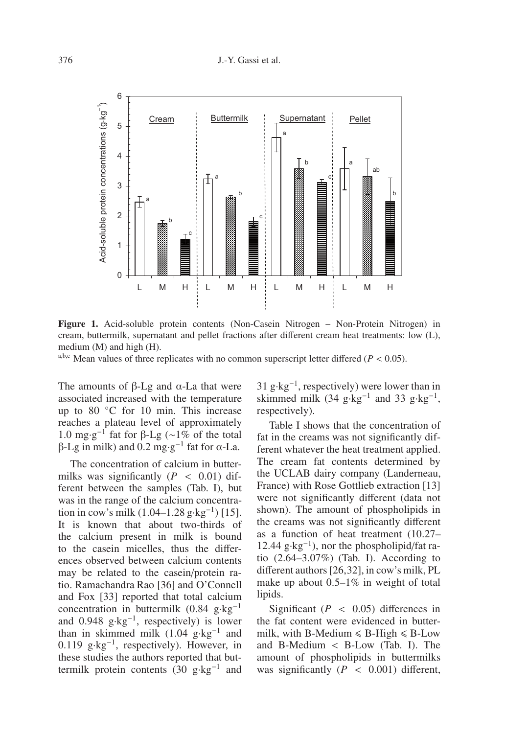

**Figure 1.** Acid-soluble protein contents (Non-Casein Nitrogen – Non-Protein Nitrogen) in cream, buttermilk, supernatant and pellet fractions after different cream heat treatments: low (L), medium (M) and high (H).

a,b,c Mean values of three replicates with no common superscript letter differed ( $P < 0.05$ ).

The amounts of β-Lg and  $α$ -La that were associated increased with the temperature up to 80 °C for 10 min. This increase reaches a plateau level of approximately 1.0 mg·g<sup>-1</sup> fat for β-Lg (∼1% of the total β-Lg in milk) and 0.2 mg⋅g<sup>-1</sup> fat for α-La.

The concentration of calcium in buttermilks was significantly  $(P < 0.01)$  different between the samples (Tab. I), but was in the range of the calcium concentration in cow's milk  $(1.04-1.28 \text{ g} \cdot \text{kg}^{-1})$  [15]. It is known that about two-thirds of the calcium present in milk is bound to the casein micelles, thus the differences observed between calcium contents may be related to the casein/protein ratio. Ramachandra Rao [36] and O'Connell and Fox [33] reported that total calcium concentration in buttermilk (0.84 g·kg−<sup>1</sup> and 0.948 g·kg−1, respectively) is lower than in skimmed milk  $(1.04 \text{ g} \cdot \text{kg}^{-1})$  and 0.119 g·kg−1, respectively). However, in these studies the authors reported that buttermilk protein contents (30 g⋅kg<sup>-1</sup> and  $31 \text{ g} \cdot \text{kg}^{-1}$ , respectively) were lower than in skimmed milk (34 g·kg<sup>-1</sup> and 33 g·kg<sup>-1</sup>, respectively).

Table I shows that the concentration of fat in the creams was not significantly different whatever the heat treatment applied. The cream fat contents determined by the UCLAB dairy company (Landerneau, France) with Rose Gottlieb extraction [13] were not significantly different (data not shown). The amount of phospholipids in the creams was not significantly different as a function of heat treatment (10.27– 12.44 g⋅kg<sup>-1</sup>), nor the phospholipid/fat ratio (2.64–3.07%) (Tab. I). According to different authors [26,32], in cow's milk, PL make up about 0.5–1% in weight of total lipids.

Significant  $(P < 0.05)$  differences in the fat content were evidenced in buttermilk, with B-Medium  $\leq B$ -High  $\leq B$ -Low and B-Medium < B-Low (Tab. I). The amount of phospholipids in buttermilks was significantly  $(P < 0.001)$  different,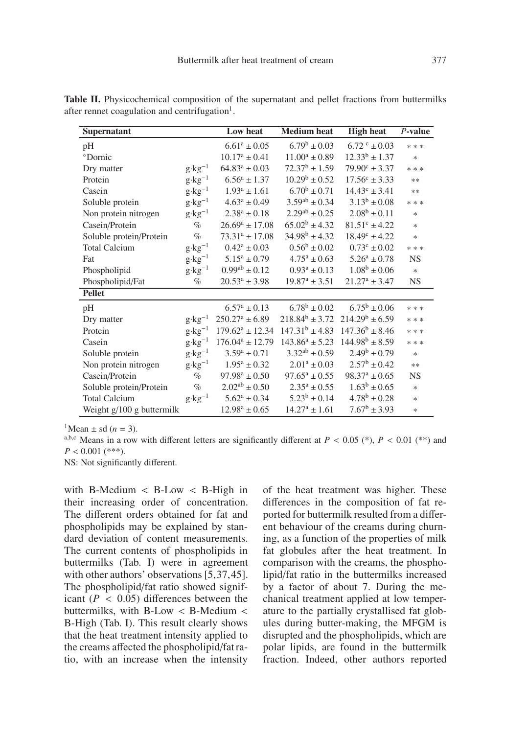| Supernatant               |                   | Low heat                | <b>Medium</b> heat   | <b>High heat</b>         | $P$ -value |
|---------------------------|-------------------|-------------------------|----------------------|--------------------------|------------|
| pH                        |                   | $6.61^a \pm 0.05$       | $6.79^b \pm 0.03$    | $6.72^{\circ}$ + 0.03    | * * *      |
| °Dornic                   |                   | $10.17^a \pm 0.41$      | $11.00^a \pm 0.89$   | $12.33^b \pm 1.37$       | ∗          |
| Dry matter                | $g \cdot kg^{-1}$ | $64.83^a \pm 0.03$      | $72.37^b \pm 1.59$   | $79.90^{\circ} \pm 3.37$ | * * *      |
| Protein                   | $g \cdot kg^{-1}$ | $6.56^a \pm 1.37$       | $10.29^b \pm 0.52$   | $17.56^{\circ} \pm 3.33$ | $**$       |
| Casein                    | $g \cdot kg^{-1}$ | $1.93^a \pm 1.61$       | $6.70^b \pm 0.71$    | $14.43^{\circ} \pm 3.41$ | $**$       |
| Soluble protein           | $g \cdot kg^{-1}$ | $4.63^a \pm 0.49$       | $3.59^{ab} \pm 0.34$ | $3.13^b \pm 0.08$        | * * *      |
| Non protein nitrogen      | $g \cdot kg^{-1}$ | $2.38^a \pm 0.18$       | $2.29^{ab} \pm 0.25$ | $2.08^b \pm 0.11$        | $\ast$     |
| Casein/Protein            | $\%$              | $26.69^a \pm 17.08$     | $65.02^b \pm 4.32$   | $81.51^{\circ} \pm 4.22$ | $\ast$     |
| Soluble protein/Protein   | $\%$              | $73.31^a \pm 17.08$     | $34.98^b \pm 4.32$   | $18.49^{\circ} \pm 4.22$ | $\ast$     |
| <b>Total Calcium</b>      | $g \cdot kg^{-1}$ | $0.42^a \pm 0.03$       | $0.56^b \pm 0.02$    | $0.73^{\circ} \pm 0.02$  | * * *      |
| Fat                       | $g \cdot kg^{-1}$ | $5.15^a \pm 0.79$       | $4.75^a \pm 0.63$    | $5.26^a \pm 0.78$        | <b>NS</b>  |
| Phospholipid              | $g \cdot kg^{-1}$ | $0.99^{ab} \pm 0.12$    | $0.93^a \pm 0.13$    | $1.08^b \pm 0.06$        | $\ast$     |
| Phospholipid/Fat          | $\%$              | $20.53^a \pm 3.98$      | $19.87^a \pm 3.51$   | $21.27^a \pm 3.47$       | <b>NS</b>  |
| <b>Pellet</b>             |                   |                         |                      |                          |            |
| pH                        |                   | $6.57^{\rm a} \pm 0.13$ | $6.78^b \pm 0.02$    | $6.75^b \pm 0.06$        | * * *      |
| Dry matter                | $g \cdot kg^{-1}$ | $250.27^a \pm 6.89$     | $218.84^b \pm 3.72$  | $214.29^b \pm 6.59$      | * * *      |
| Protein                   | $g \cdot kg^{-1}$ | $179.62^a \pm 12.34$    | $147.31^b \pm 4.83$  | $147.36^b \pm 8.46$      | * * *      |
| Casein                    | $g \cdot kg^{-1}$ | $176.04^a \pm 12.79$    | $143.86^a \pm 5.23$  | $144.98^b \pm 8.59$      | * * *      |
| Soluble protein           | $g \cdot kg^{-1}$ | $3.59^a \pm 0.71$       | $3.32^{ab} \pm 0.59$ | $2.49^b \pm 0.79$        | $\ast$     |
| Non protein nitrogen      | $g \cdot kg^{-1}$ | $1.95^a \pm 0.32$       | $2.01^a \pm 0.03$    | $2.57^{\rm b} \pm 0.42$  | $**$       |
| Casein/Protein            | $\%$              | $97.98^a \pm 0.50$      | $97.65^a \pm 0.55$   | $98.37^a \pm 0.65$       | <b>NS</b>  |
| Soluble protein/Protein   | $\%$              | $2.02^{ab} \pm 0.50$    | $2.35^a \pm 0.55$    | $1.63^b \pm 0.65$        | $\ast$     |
| <b>Total Calcium</b>      | $g \cdot kg^{-1}$ | $5.62^a \pm 0.34$       | $5.23^b \pm 0.14$    | $4.78^b \pm 0.28$        | $\ast$     |
| Weight g/100 g buttermilk |                   | $12.98^a \pm 0.65$      | $14.27^a \pm 1.61$   | $7.67^b \pm 3.93$        | $\ast$     |

Table II. Physicochemical composition of the supernatant and pellet fractions from buttermilks after rennet coagulation and centrifugation<sup>1</sup>.

<sup>1</sup>Mean  $\pm$  sd (*n* = 3).<br><sup>a,b,c</sup> Means in a row with different letters are significantly different at *P* < 0.05 (\*), *P* < 0.01 (\*\*) and  $P < 0.001$  (\*\*\*).

NS: Not significantly different.

with B-Medium < B-Low < B-High in their increasing order of concentration. The different orders obtained for fat and phospholipids may be explained by standard deviation of content measurements. The current contents of phospholipids in buttermilks (Tab. I) were in agreement with other authors' observations [5,37,45]. The phospholipid/fat ratio showed significant  $(P < 0.05)$  differences between the buttermilks, with B-Low < B-Medium < B-High (Tab. I). This result clearly shows that the heat treatment intensity applied to the creams affected the phospholipid/fat ratio, with an increase when the intensity of the heat treatment was higher. These differences in the composition of fat reported for buttermilk resulted from a different behaviour of the creams during churning, as a function of the properties of milk fat globules after the heat treatment. In comparison with the creams, the phospholipid/fat ratio in the buttermilks increased by a factor of about 7. During the mechanical treatment applied at low temperature to the partially crystallised fat globules during butter-making, the MFGM is disrupted and the phospholipids, which are polar lipids, are found in the buttermilk fraction. Indeed, other authors reported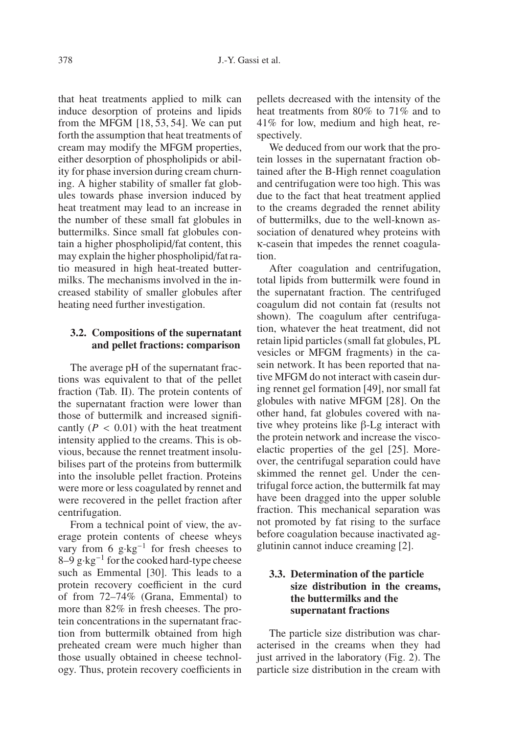that heat treatments applied to milk can induce desorption of proteins and lipids from the MFGM [18, 53, 54]. We can put forth the assumption that heat treatments of cream may modify the MFGM properties, either desorption of phospholipids or ability for phase inversion during cream churning. A higher stability of smaller fat globules towards phase inversion induced by heat treatment may lead to an increase in the number of these small fat globules in buttermilks. Since small fat globules contain a higher phospholipid/fat content, this may explain the higher phospholipid/fat ratio measured in high heat-treated buttermilks. The mechanisms involved in the increased stability of smaller globules after heating need further investigation.

#### **3.2. Compositions of the supernatant and pellet fractions: comparison**

The average pH of the supernatant fractions was equivalent to that of the pellet fraction (Tab. II). The protein contents of the supernatant fraction were lower than those of buttermilk and increased significantly  $(P < 0.01)$  with the heat treatment cantly  $(P < 0.01)$  with the heat treatment intensity applied to the creams. This is obvious, because the rennet treatment insolubilises part of the proteins from buttermilk into the insoluble pellet fraction. Proteins were more or less coagulated by rennet and were recovered in the pellet fraction after centrifugation.

From a technical point of view, the average protein contents of cheese wheys vary from 6 g·kg−<sup>1</sup> for fresh cheeses to 8–9 g⋅kg<sup>-1</sup> for the cooked hard-type cheese such as Emmental [30]. This leads to a protein recovery coefficient in the curd of from 72–74% (Grana, Emmental) to more than 82% in fresh cheeses. The protein concentrations in the supernatant fraction from buttermilk obtained from high preheated cream were much higher than those usually obtained in cheese technology. Thus, protein recovery coefficients in pellets decreased with the intensity of the heat treatments from 80% to 71% and to 41% for low, medium and high heat, respectively.

We deduced from our work that the protein losses in the supernatant fraction obtained after the B-High rennet coagulation and centrifugation were too high. This was due to the fact that heat treatment applied to the creams degraded the rennet ability of buttermilks, due to the well-known association of denatured whey proteins with κ-casein that impedes the rennet coagulation.

After coagulation and centrifugation, total lipids from buttermilk were found in the supernatant fraction. The centrifuged coagulum did not contain fat (results not shown). The coagulum after centrifugation, whatever the heat treatment, did not retain lipid particles (small fat globules, PL vesicles or MFGM fragments) in the casein network. It has been reported that native MFGM do not interact with casein during rennet gel formation [49], nor small fat globules with native MFGM [28]. On the other hand, fat globules covered with native whey proteins like β-Lg interact with the protein network and increase the viscoelactic properties of the gel [25]. Moreover, the centrifugal separation could have skimmed the rennet gel. Under the centrifugal force action, the buttermilk fat may have been dragged into the upper soluble fraction. This mechanical separation was not promoted by fat rising to the surface before coagulation because inactivated agglutinin cannot induce creaming [2].

#### **3.3. Determination of the particle size distribution in the creams, the buttermilks and the supernatant fractions**

The particle size distribution was characterised in the creams when they had just arrived in the laboratory (Fig. 2). The particle size distribution in the cream with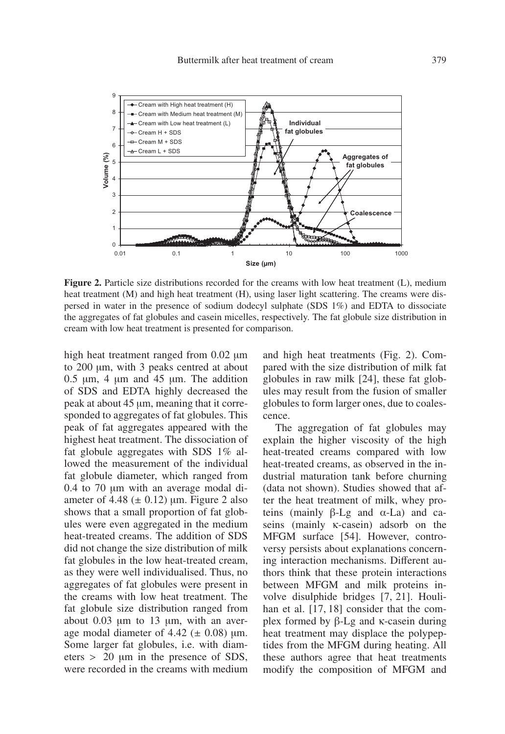

**Figure 2.** Particle size distributions recorded for the creams with low heat treatment (L), medium heat treatment (M) and high heat treatment (H), using laser light scattering. The creams were dispersed in water in the presence of sodium dodecyl sulphate (SDS 1%) and EDTA to dissociate the aggregates of fat globules and casein micelles, respectively. The fat globule size distribution in cream with low heat treatment is presented for comparison.

high heat treatment ranged from 0.02 μm to 200 μm, with 3 peaks centred at about  $0.5 \mu m$ , 4  $\mu m$  and 45  $\mu m$ . The addition of SDS and EDTA highly decreased the peak at about 45 μm, meaning that it corresponded to aggregates of fat globules. This peak of fat aggregates appeared with the highest heat treatment. The dissociation of fat globule aggregates with SDS 1% allowed the measurement of the individual fat globule diameter, which ranged from 0.4 to 70 μm with an average modal diameter of 4.48  $(\pm 0.12)$  μm. Figure 2 also shows that a small proportion of fat globules were even aggregated in the medium heat-treated creams. The addition of SDS did not change the size distribution of milk fat globules in the low heat-treated cream, as they were well individualised. Thus, no aggregates of fat globules were present in the creams with low heat treatment. The fat globule size distribution ranged from about 0.03 μm to 13 μm, with an average modal diameter of  $4.42 \ (\pm 0.08)$  μm. Some larger fat globules, i.e. with diameters > <sup>20</sup> <sup>μ</sup>m in the presence of SDS, were recorded in the creams with medium and high heat treatments (Fig. 2). Compared with the size distribution of milk fat globules in raw milk [24], these fat globules may result from the fusion of smaller globules to form larger ones, due to coalescence.

The aggregation of fat globules may explain the higher viscosity of the high heat-treated creams compared with low heat-treated creams, as observed in the industrial maturation tank before churning (data not shown). Studies showed that after the heat treatment of milk, whey proteins (mainly β-Lg and  $α$ -La) and  $ca$ seins (mainly κ-casein) adsorb on the MFGM surface [54]. However, controversy persists about explanations concerning interaction mechanisms. Different authors think that these protein interactions between MFGM and milk proteins involve disulphide bridges [7, 21]. Houlihan et al. [17, 18] consider that the complex formed by β-Lg and κ-casein during heat treatment may displace the polypeptides from the MFGM during heating. All these authors agree that heat treatments modify the composition of MFGM and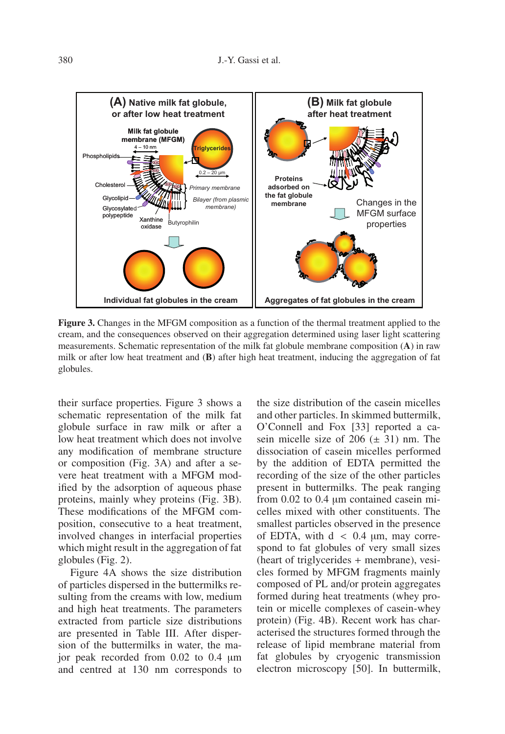

**Figure 3.** Changes in the MFGM composition as a function of the thermal treatment applied to the cream, and the consequences observed on their aggregation determined using laser light scattering measurements. Schematic representation of the milk fat globule membrane composition (**A**) in raw milk or after low heat treatment and (**B**) after high heat treatment, inducing the aggregation of fat globules.

their surface properties. Figure 3 shows a schematic representation of the milk fat globule surface in raw milk or after a low heat treatment which does not involve any modification of membrane structure or composition (Fig. 3A) and after a severe heat treatment with a MFGM modified by the adsorption of aqueous phase proteins, mainly whey proteins (Fig. 3B). These modifications of the MFGM composition, consecutive to a heat treatment, involved changes in interfacial properties which might result in the aggregation of fat globules (Fig. 2).

Figure 4A shows the size distribution of particles dispersed in the buttermilks resulting from the creams with low, medium and high heat treatments. The parameters extracted from particle size distributions are presented in Table III. After dispersion of the buttermilks in water, the major peak recorded from 0.02 to 0.4 μm and centred at 130 nm corresponds to

the size distribution of the casein micelles and other particles. In skimmed buttermilk, O'Connell and Fox [33] reported a casein micelle size of  $206 (\pm 31)$  nm. The dissociation of casein micelles performed by the addition of EDTA permitted the recording of the size of the other particles present in buttermilks. The peak ranging from 0.02 to 0.4 μm contained casein micelles mixed with other constituents. The smallest particles observed in the presence of EDTA, with  $d \, < 0.4$  µm, may correspond to fat globules of very small sizes (heart of triglycerides + membrane), vesicles formed by MFGM fragments mainly composed of PL and/or protein aggregates formed during heat treatments (whey protein or micelle complexes of casein-whey protein) (Fig. 4B). Recent work has characterised the structures formed through the release of lipid membrane material from fat globules by cryogenic transmission electron microscopy [50]. In buttermilk,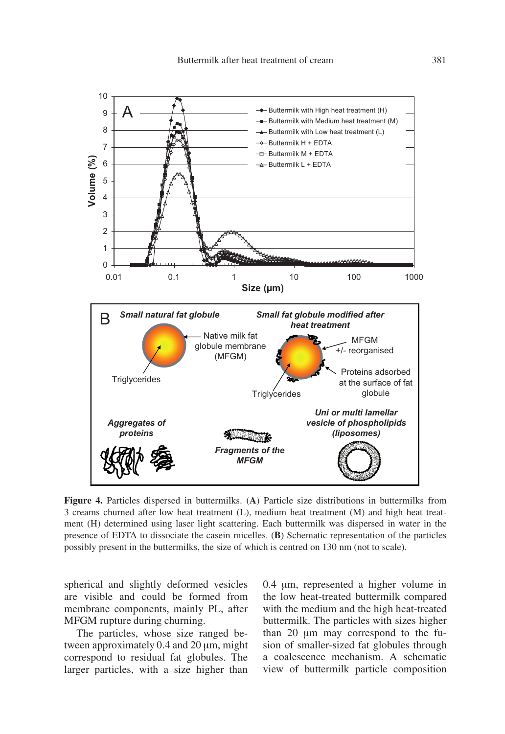

**Figure 4.** Particles dispersed in buttermilks. (**A**) Particle size distributions in buttermilks from 3 creams churned after low heat treatment (L), medium heat treatment (M) and high heat treatment (H) determined using laser light scattering. Each buttermilk was dispersed in water in the presence of EDTA to dissociate the casein micelles. (**B**) Schematic representation of the particles possibly present in the buttermilks, the size of which is centred on 130 nm (not to scale).

spherical and slightly deformed vesicles are visible and could be formed from membrane components, mainly PL, after MFGM rupture during churning.

The particles, whose size ranged between approximately 0.4 and 20 μm, might correspond to residual fat globules. The larger particles, with a size higher than 0.4 μm, represented a higher volume in the low heat-treated buttermilk compared with the medium and the high heat-treated buttermilk. The particles with sizes higher than 20 μm may correspond to the fusion of smaller-sized fat globules through a coalescence mechanism. A schematic view of buttermilk particle composition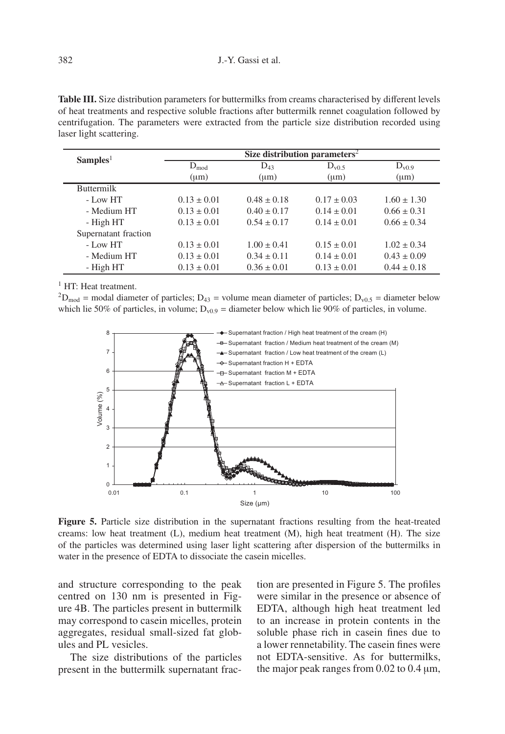**Table III.** Size distribution parameters for buttermilks from creams characterised by different levels of heat treatments and respective soluble fractions after buttermilk rennet coagulation followed by centrifugation. The parameters were extracted from the particle size distribution recorded using laser light scattering.

| Samples <sup>1</sup> | Size distribution parameters <sup>2</sup> |                 |                 |                 |  |  |
|----------------------|-------------------------------------------|-----------------|-----------------|-----------------|--|--|
|                      | $D_{mod}$                                 | $D_{43}$        | $D_{v0.5}$      | $D_{v0.9}$      |  |  |
|                      | $(\mu m)$                                 | $(\mu m)$       | $(\mu m)$       | $(\mu m)$       |  |  |
| <b>Buttermilk</b>    |                                           |                 |                 |                 |  |  |
| $-$ Low HT           | $0.13 \pm 0.01$                           | $0.48 \pm 0.18$ | $0.17 \pm 0.03$ | $1.60 \pm 1.30$ |  |  |
| - Medium HT          | $0.13 \pm 0.01$                           | $0.40 \pm 0.17$ | $0.14 \pm 0.01$ | $0.66 \pm 0.31$ |  |  |
| - High HT            | $0.13 \pm 0.01$                           | $0.54 \pm 0.17$ | $0.14 \pm 0.01$ | $0.66 \pm 0.34$ |  |  |
| Supernatant fraction |                                           |                 |                 |                 |  |  |
| - Low HT             | $0.13 \pm 0.01$                           | $1.00 \pm 0.41$ | $0.15 \pm 0.01$ | $1.02 \pm 0.34$ |  |  |
| - Medium HT          | $0.13 \pm 0.01$                           | $0.34 \pm 0.11$ | $0.14 \pm 0.01$ | $0.43 \pm 0.09$ |  |  |
| - High HT            | $0.13 \pm 0.01$                           | $0.36 \pm 0.01$ | $0.13 \pm 0.01$ | $0.44 \pm 0.18$ |  |  |

<sup>1</sup> HT<sup>.</sup> Heat treatment.

<sup>2</sup>D<sub>mod</sub> = modal diameter of particles; D<sub>43</sub> = volume mean diameter of particles; D<sub>v0.5</sub> = diameter below which lie 50% of particles, in volume;  $D_{v0.9}$  = diameter below which lie 90% of particles, in volume.



**Figure 5.** Particle size distribution in the supernatant fractions resulting from the heat-treated creams: low heat treatment  $(L)$ , medium heat treatment  $(M)$ , high heat treatment  $(H)$ . The size of the particles was determined using laser light scattering after dispersion of the buttermilks in water in the presence of EDTA to dissociate the casein micelles.

and structure corresponding to the peak centred on 130 nm is presented in Figure 4B. The particles present in buttermilk may correspond to casein micelles, protein aggregates, residual small-sized fat globules and PL vesicles.

The size distributions of the particles present in the buttermilk supernatant frac-

tion are presented in Figure 5. The profiles were similar in the presence or absence of EDTA, although high heat treatment led to an increase in protein contents in the soluble phase rich in casein fines due to a lower rennetability. The casein fines were not EDTA-sensitive. As for buttermilks, the major peak ranges from 0.02 to 0.4 μm,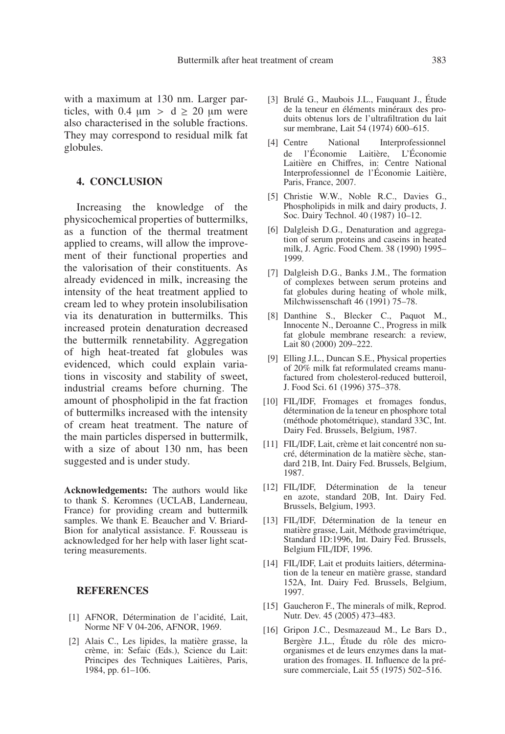with a maximum at 130 nm. Larger particles, with 0.4  $\mu$ m > d  $\geq$  20  $\mu$ m were also characterised in the soluble fractions. They may correspond to residual milk fat globules.

#### **4. CONCLUSION**

Increasing the knowledge of the physicochemical properties of buttermilks, as a function of the thermal treatment applied to creams, will allow the improvement of their functional properties and the valorisation of their constituents. As already evidenced in milk, increasing the intensity of the heat treatment applied to cream led to whey protein insolubilisation via its denaturation in buttermilks. This increased protein denaturation decreased the buttermilk rennetability. Aggregation of high heat-treated fat globules was evidenced, which could explain variations in viscosity and stability of sweet, industrial creams before churning. The amount of phospholipid in the fat fraction of buttermilks increased with the intensity of cream heat treatment. The nature of the main particles dispersed in buttermilk, with a size of about 130 nm, has been suggested and is under study.

**Acknowledgements:** The authors would like to thank S. Keromnes (UCLAB, Landerneau, France) for providing cream and buttermilk samples. We thank E. Beaucher and V. Briard-Bion for analytical assistance. F. Rousseau is acknowledged for her help with laser light scattering measurements.

#### **REFERENCES**

- [1] AFNOR, Détermination de l'acidité, Lait, Norme NF V 04-206, AFNOR, 1969.
- [2] Alais C., Les lipides, la matière grasse, la crème, in: Sefaic (Eds.), Science du Lait: Principes des Techniques Laitières, Paris, 1984, pp. 61–106.
- [3] Brulé G., Maubois J.L., Fauquant J., Étude de la teneur en éléments minéraux des produits obtenus lors de l'ultrafiltration du lait sur membrane, Lait 54 (1974) 600–615.
- [4] Centre National Interprofessionnel de l'Économie Laitière, L'Économie Laitière en Chiffres, in: Centre National Interprofessionnel de l'Économie Laitière, Paris, France, 2007.
- [5] Christie W.W., Noble R.C., Davies G., Phospholipids in milk and dairy products, J. Soc. Dairy Technol. 40 (1987) 10–12.
- [6] Dalgleish D.G., Denaturation and aggregation of serum proteins and caseins in heated milk, J. Agric. Food Chem. 38 (1990) 1995– 1999.
- [7] Dalgleish D.G., Banks J.M., The formation of complexes between serum proteins and fat globules during heating of whole milk, Milchwissenschaft 46 (1991) 75–78.
- [8] Danthine S., Blecker C., Paquot M., Innocente N., Deroanne C., Progress in milk fat globule membrane research: a review, Lait 80 (2000) 209–222.
- [9] Elling J.L., Duncan S.E., Physical properties of 20% milk fat reformulated creams manufactured from cholesterol-reduced butteroil, J. Food Sci. 61 (1996) 375–378.
- [10] FIL/IDF, Fromages et fromages fondus, détermination de la teneur en phosphore total (méthode photométrique), standard 33C, Int. Dairy Fed. Brussels, Belgium, 1987.
- [11] FIL/IDF, Lait, crème et lait concentré non sucré, détermination de la matière sèche, standard 21B, Int. Dairy Fed. Brussels, Belgium, 1987.
- [12] FIL/IDF, Détermination de la teneur en azote, standard 20B, Int. Dairy Fed. Brussels, Belgium, 1993.
- [13] FIL/IDF, Détermination de la teneur en matière grasse, Lait, Méthode gravimétrique, Standard 1D:1996, Int. Dairy Fed. Brussels, Belgium FIL/IDF, 1996.
- [14] FIL/IDF, Lait et produits laitiers, détermination de la teneur en matière grasse, standard 152A, Int. Dairy Fed. Brussels, Belgium, 1997.
- [15] Gaucheron F., The minerals of milk, Reprod. Nutr. Dev. 45 (2005) 473–483.
- [16] Gripon J.C., Desmazeaud M., Le Bars D., Bergère J.L., Étude du rôle des microorganismes et de leurs enzymes dans la maturation des fromages. II. Influence de la présure commerciale, Lait 55 (1975) 502–516.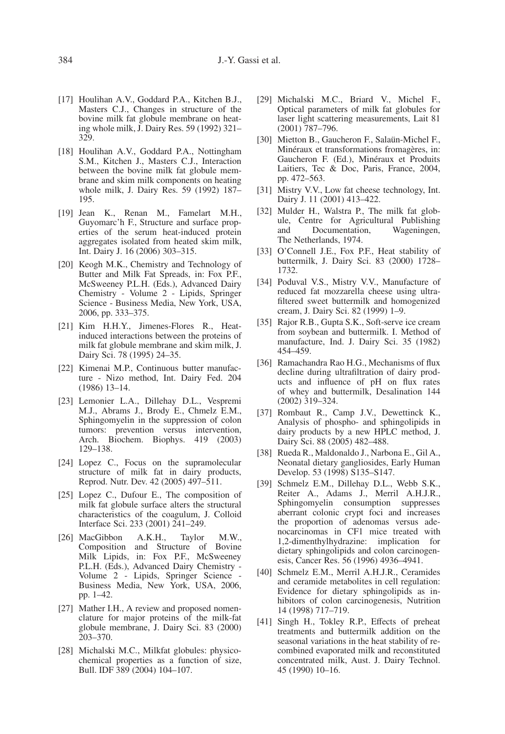- [17] Houlihan A.V., Goddard P.A., Kitchen B.J., Masters C.J., Changes in structure of the bovine milk fat globule membrane on heating whole milk, J. Dairy Res. 59 (1992) 321– 329.
- [18] Houlihan A.V., Goddard P.A., Nottingham S.M., Kitchen J., Masters C.J., Interaction between the bovine milk fat globule membrane and skim milk components on heating whole milk, J. Dairy Res. 59 (1992) 187– 195.
- [19] Jean K., Renan M., Famelart M.H., Guyomarc'h F., Structure and surface properties of the serum heat-induced protein aggregates isolated from heated skim milk, Int. Dairy J. 16 (2006) 303–315.
- [20] Keogh M.K., Chemistry and Technology of Butter and Milk Fat Spreads, in: Fox P.F., McSweeney P.L.H. (Eds.), Advanced Dairy Chemistry - Volume 2 - Lipids, Springer Science - Business Media, New York, USA, 2006, pp. 333–375.
- [21] Kim H.H.Y., Jimenes-Flores R., Heatinduced interactions between the proteins of milk fat globule membrane and skim milk, J. Dairy Sci. 78 (1995) 24–35.
- [22] Kimenai M.P., Continuous butter manufacture - Nizo method, Int. Dairy Fed. 204 (1986) 13–14.
- [23] Lemonier L.A., Dillehay D.L., Vespremi M.J., Abrams J., Brody E., Chmelz E.M., Sphingomyelin in the suppression of colon tumors: prevention versus intervention, Arch. Biochem. Biophys. 419 (2003) 129–138.
- [24] Lopez C., Focus on the supramolecular structure of milk fat in dairy products, Reprod. Nutr. Dev. 42 (2005) 497–511.
- [25] Lopez C., Dufour E., The composition of milk fat globule surface alters the structural characteristics of the coagulum, J. Colloid Interface Sci. 233 (2001) 241–249.
- [26] MacGibbon A.K.H., Taylor M.W., Composition and Structure of Bovine Milk Lipids, in: Fox P.F., McSweeney P.L.H. (Eds.), Advanced Dairy Chemistry - Volume 2 - Lipids, Springer Science - Business Media, New York, USA, 2006, pp. 1–42.
- [27] Mather I.H., A review and proposed nomenclature for major proteins of the milk-fat globule membrane, J. Dairy Sci. 83 (2000) 203–370.
- [28] Michalski M.C., Milkfat globules: physicochemical properties as a function of size, Bull. IDF 389 (2004) 104–107.
- [29] Michalski M.C., Briard V., Michel F., Optical parameters of milk fat globules for laser light scattering measurements, Lait 81 (2001) 787–796.
- [30] Mietton B., Gaucheron F., Salaün-Michel F., Minéraux et transformations fromagères, in: Gaucheron F. (Ed.), Minéraux et Produits Laitiers, Tec & Doc, Paris, France, 2004, pp. 472–563.
- [31] Mistry V.V., Low fat cheese technology, Int. Dairy J. 11 (2001) 413–422.
- [32] Mulder H., Walstra P., The milk fat globule, Centre for Agricultural Publishing<br>and Documentation, Wageningen, Documentation, The Netherlands, 1974.
- [33] O'Connell J.E., Fox P.F., Heat stability of buttermilk, J. Dairy Sci. 83 (2000) 1728– 1732.
- [34] Poduval V.S., Mistry V.V., Manufacture of reduced fat mozzarella cheese using ultrafiltered sweet buttermilk and homogenized cream, J. Dairy Sci. 82 (1999) 1–9.
- [35] Rajor R.B., Gupta S.K., Soft-serve ice cream from soybean and buttermilk. I. Method of manufacture, Ind. J. Dairy Sci. 35 (1982) 454–459.
- [36] Ramachandra Rao H.G., Mechanisms of flux decline during ultrafiltration of dairy products and influence of pH on flux rates of whey and buttermilk, Desalination 144 (2002) 319–324.
- [37] Rombaut R., Camp J.V., Dewettinck K., Analysis of phospho- and sphingolipids in dairy products by a new HPLC method, J. Dairy Sci. 88 (2005) 482–488.
- [38] Rueda R., Maldonaldo J., Narbona E., Gil A., Neonatal dietary gangliosides, Early Human Develop. 53 (1998) S135–S147.
- [39] Schmelz E.M., Dillehay D.L., Webb S.K., Reiter A., Adams J., Merril A.H.J.R., Sphingomyelin consumption suppresses aberrant colonic crypt foci and increases the proportion of adenomas versus adenocarcinomas in CF1 mice treated with 1,2-dimenthylhydrazine: implication for dietary sphingolipids and colon carcinogenesis, Cancer Res. 56 (1996) 4936–4941.
- [40] Schmelz E.M., Merril A.H.J.R., Ceramides and ceramide metabolites in cell regulation: Evidence for dietary sphingolipids as inhibitors of colon carcinogenesis, Nutrition 14 (1998) 717–719.
- [41] Singh H., Tokley R.P., Effects of preheat treatments and buttermilk addition on the seasonal variations in the heat stability of recombined evaporated milk and reconstituted concentrated milk, Aust. J. Dairy Technol. 45 (1990) 10–16.